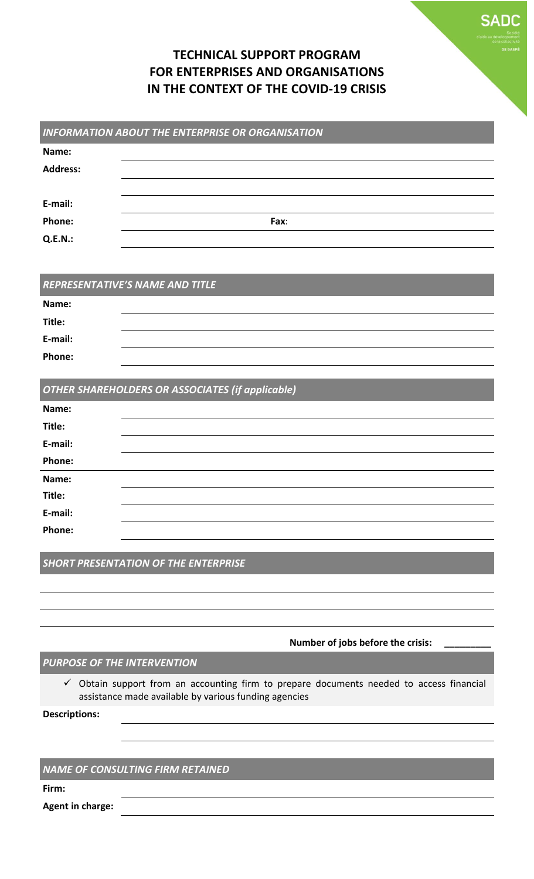# **TECHNICAL SUPPORT PROGRAM FOR ENTERPRISES AND ORGANISATIONS IN THE CONTEXT OF THE COVID-19 CRISIS**

**SADC** 

|                                                         | <b>INFORMATION ABOUT THE ENTERPRISE OR ORGANISATION</b> |  |  |  |
|---------------------------------------------------------|---------------------------------------------------------|--|--|--|
| Name:                                                   |                                                         |  |  |  |
| <b>Address:</b>                                         |                                                         |  |  |  |
|                                                         |                                                         |  |  |  |
| E-mail:                                                 |                                                         |  |  |  |
| Phone:                                                  | Fax:                                                    |  |  |  |
| <b>Q.E.N.:</b>                                          |                                                         |  |  |  |
|                                                         |                                                         |  |  |  |
|                                                         |                                                         |  |  |  |
|                                                         | REPRESENTATIVE'S NAME AND TITLE                         |  |  |  |
| Name:                                                   |                                                         |  |  |  |
| Title:                                                  |                                                         |  |  |  |
| E-mail:                                                 |                                                         |  |  |  |
| Phone:                                                  |                                                         |  |  |  |
|                                                         |                                                         |  |  |  |
| <b>OTHER SHAREHOLDERS OR ASSOCIATES (if applicable)</b> |                                                         |  |  |  |
| Name:                                                   |                                                         |  |  |  |
| Titla.                                                  |                                                         |  |  |  |

| Title:  |  |  |  |  |
|---------|--|--|--|--|
| E-mail: |  |  |  |  |
| Phone:  |  |  |  |  |
| Name:   |  |  |  |  |
| Title:  |  |  |  |  |
| E-mail: |  |  |  |  |
| Phone:  |  |  |  |  |
|         |  |  |  |  |

*SHORT PRESENTATION OF THE ENTERPRISE*

#### **Number of jobs before the crisis: \_\_\_\_\_\_\_\_\_\_**

### *PURPOSE OF THE INTERVENTION*

 $\checkmark$  Obtain support from an accounting firm to prepare documents needed to access financial assistance made available by various funding agencies

**Descriptions:**

#### *NAME OF CONSULTING FIRM RETAINED*

**Firm:**

**Agent in charge:**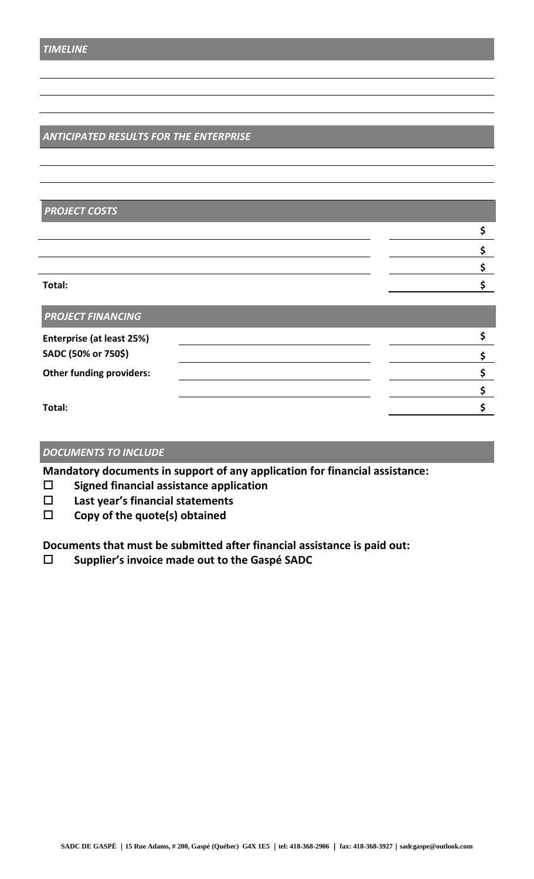## *ANTICIPATED RESULTS FOR THE ENTERPRISE*

| <b>PROJECT COSTS</b>             |  |
|----------------------------------|--|
|                                  |  |
|                                  |  |
|                                  |  |
| Total:                           |  |
| <b>PROJECT FINANCING</b>         |  |
| <b>Enterprise (at least 25%)</b> |  |
| SADC (50% or 750\$)              |  |

**\$**

**Other funding providers: \$**

**Total: \$**

#### *DOCUMENTS TO INCLUDE*

**Mandatory documents in support of any application for financial assistance:**

- **Signed financial assistance application**
- **Last year's financial statements**
- **Copy of the quote(s) obtained**

**Documents that must be submitted after financial assistance is paid out:**

**Supplier's invoice made out to the Gaspé SADC**